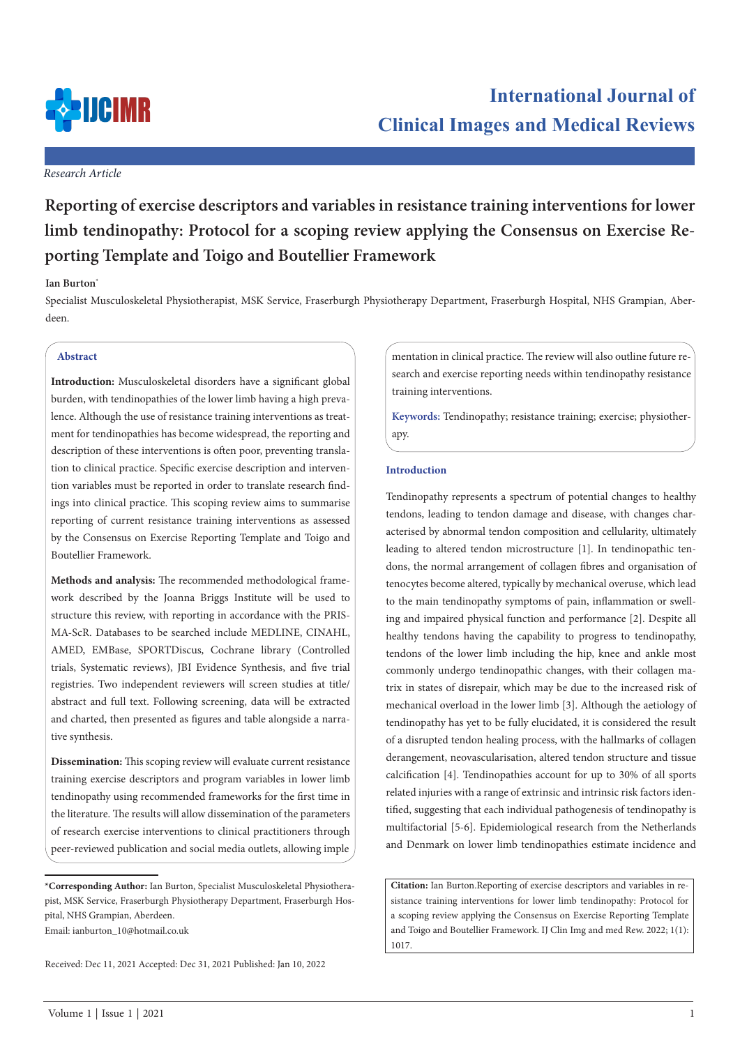

# **International Journal of Clinical Images and Medical Reviews**

# *Research Article*

# **Reporting of exercise descriptors and variables in resistance training interventions for lower limb tendinopathy: Protocol for a scoping review applying the Consensus on Exercise Reporting Template and Toigo and Boutellier Framework**

# **Ian Burton\***

Specialist Musculoskeletal Physiotherapist, MSK Service, Fraserburgh Physiotherapy Department, Fraserburgh Hospital, NHS Grampian, Aberdeen.

# **Abstract**

**Introduction:** Musculoskeletal disorders have a significant global burden, with tendinopathies of the lower limb having a high prevalence. Although the use of resistance training interventions as treatment for tendinopathies has become widespread, the reporting and description of these interventions is often poor, preventing translation to clinical practice. Specific exercise description and intervention variables must be reported in order to translate research findings into clinical practice. This scoping review aims to summarise reporting of current resistance training interventions as assessed by the Consensus on Exercise Reporting Template and Toigo and Boutellier Framework.

**Methods and analysis:** The recommended methodological framework described by the Joanna Briggs Institute will be used to structure this review, with reporting in accordance with the PRIS-MA-ScR. Databases to be searched include MEDLINE, CINAHL, AMED, EMBase, SPORTDiscus, Cochrane library (Controlled trials, Systematic reviews), JBI Evidence Synthesis, and five trial registries. Two independent reviewers will screen studies at title/ abstract and full text. Following screening, data will be extracted and charted, then presented as figures and table alongside a narrative synthesis.

**Dissemination:** This scoping review will evaluate current resistance training exercise descriptors and program variables in lower limb tendinopathy using recommended frameworks for the first time in the literature. The results will allow dissemination of the parameters of research exercise interventions to clinical practitioners through peer-reviewed publication and social media outlets, allowing imple mentation in clinical practice. The review will also outline future research and exercise reporting needs within tendinopathy resistance training interventions.

**Keywords:** Tendinopathy; resistance training; exercise; physiotherapy.

# **Introduction**

Tendinopathy represents a spectrum of potential changes to healthy tendons, leading to tendon damage and disease, with changes characterised by abnormal tendon composition and cellularity, ultimately leading to altered tendon microstructure [1]. In tendinopathic tendons, the normal arrangement of collagen fibres and organisation of tenocytes become altered, typically by mechanical overuse, which lead to the main tendinopathy symptoms of pain, inflammation or swelling and impaired physical function and performance [2]. Despite all healthy tendons having the capability to progress to tendinopathy, tendons of the lower limb including the hip, knee and ankle most commonly undergo tendinopathic changes, with their collagen matrix in states of disrepair, which may be due to the increased risk of mechanical overload in the lower limb [3]. Although the aetiology of tendinopathy has yet to be fully elucidated, it is considered the result of a disrupted tendon healing process, with the hallmarks of collagen derangement, neovascularisation, altered tendon structure and tissue calcification [4]. Tendinopathies account for up to 30% of all sports related injuries with a range of extrinsic and intrinsic risk factors identified, suggesting that each individual pathogenesis of tendinopathy is multifactorial [5-6]. Epidemiological research from the Netherlands and Denmark on lower limb tendinopathies estimate incidence and

**Citation:** Ian Burton.Reporting of exercise descriptors and variables in resistance training interventions for lower limb tendinopathy: Protocol for a scoping review applying the Consensus on Exercise Reporting Template and Toigo and Boutellier Framework. IJ Clin Img and med Rew. 2022; 1(1): 1017.

**<sup>\*</sup>Corresponding Author:** Ian Burton, Specialist Musculoskeletal Physiotherapist, MSK Service, Fraserburgh Physiotherapy Department, Fraserburgh Hospital, NHS Grampian, Aberdeen.

Email: ianburton\_10@hotmail.co.uk

Received: Dec 11, 2021 Accepted: Dec 31, 2021 Published: Jan 10, 2022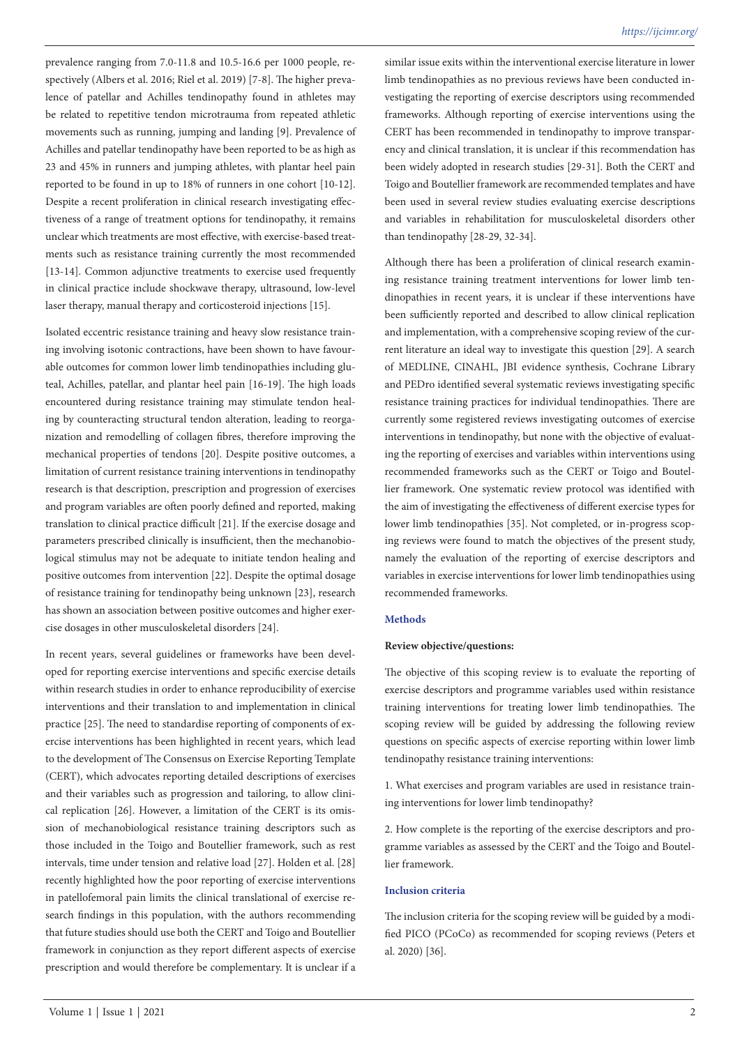*https://ijcimr.org/*

prevalence ranging from 7.0-11.8 and 10.5-16.6 per 1000 people, respectively (Albers et al. 2016; Riel et al. 2019) [7-8]. The higher prevalence of patellar and Achilles tendinopathy found in athletes may be related to repetitive tendon microtrauma from repeated athletic movements such as running, jumping and landing [9]. Prevalence of Achilles and patellar tendinopathy have been reported to be as high as 23 and 45% in runners and jumping athletes, with plantar heel pain reported to be found in up to 18% of runners in one cohort [10-12]. Despite a recent proliferation in clinical research investigating effectiveness of a range of treatment options for tendinopathy, it remains unclear which treatments are most effective, with exercise-based treatments such as resistance training currently the most recommended [13-14]. Common adjunctive treatments to exercise used frequently in clinical practice include shockwave therapy, ultrasound, low-level laser therapy, manual therapy and corticosteroid injections [15].

Isolated eccentric resistance training and heavy slow resistance training involving isotonic contractions, have been shown to have favourable outcomes for common lower limb tendinopathies including gluteal, Achilles, patellar, and plantar heel pain [16-19]. The high loads encountered during resistance training may stimulate tendon healing by counteracting structural tendon alteration, leading to reorganization and remodelling of collagen fibres, therefore improving the mechanical properties of tendons [20]. Despite positive outcomes, a limitation of current resistance training interventions in tendinopathy research is that description, prescription and progression of exercises and program variables are often poorly defined and reported, making translation to clinical practice difficult [21]. If the exercise dosage and parameters prescribed clinically is insufficient, then the mechanobiological stimulus may not be adequate to initiate tendon healing and positive outcomes from intervention [22]. Despite the optimal dosage of resistance training for tendinopathy being unknown [23], research has shown an association between positive outcomes and higher exercise dosages in other musculoskeletal disorders [24].

In recent years, several guidelines or frameworks have been developed for reporting exercise interventions and specific exercise details within research studies in order to enhance reproducibility of exercise interventions and their translation to and implementation in clinical practice [25]. The need to standardise reporting of components of exercise interventions has been highlighted in recent years, which lead to the development of The Consensus on Exercise Reporting Template (CERT), which advocates reporting detailed descriptions of exercises and their variables such as progression and tailoring, to allow clinical replication [26]. However, a limitation of the CERT is its omission of mechanobiological resistance training descriptors such as those included in the Toigo and Boutellier framework, such as rest intervals, time under tension and relative load [27]. Holden et al. [28] recently highlighted how the poor reporting of exercise interventions in patellofemoral pain limits the clinical translational of exercise research findings in this population, with the authors recommending that future studies should use both the CERT and Toigo and Boutellier framework in conjunction as they report different aspects of exercise prescription and would therefore be complementary. It is unclear if a

similar issue exits within the interventional exercise literature in lower limb tendinopathies as no previous reviews have been conducted investigating the reporting of exercise descriptors using recommended frameworks. Although reporting of exercise interventions using the CERT has been recommended in tendinopathy to improve transparency and clinical translation, it is unclear if this recommendation has been widely adopted in research studies [29-31]. Both the CERT and Toigo and Boutellier framework are recommended templates and have been used in several review studies evaluating exercise descriptions and variables in rehabilitation for musculoskeletal disorders other than tendinopathy [28-29, 32-34].

Although there has been a proliferation of clinical research examining resistance training treatment interventions for lower limb tendinopathies in recent years, it is unclear if these interventions have been sufficiently reported and described to allow clinical replication and implementation, with a comprehensive scoping review of the current literature an ideal way to investigate this question [29]. A search of MEDLINE, CINAHL, JBI evidence synthesis, Cochrane Library and PEDro identified several systematic reviews investigating specific resistance training practices for individual tendinopathies. There are currently some registered reviews investigating outcomes of exercise interventions in tendinopathy, but none with the objective of evaluating the reporting of exercises and variables within interventions using recommended frameworks such as the CERT or Toigo and Boutellier framework. One systematic review protocol was identified with the aim of investigating the effectiveness of different exercise types for lower limb tendinopathies [35]. Not completed, or in-progress scoping reviews were found to match the objectives of the present study, namely the evaluation of the reporting of exercise descriptors and variables in exercise interventions for lower limb tendinopathies using recommended frameworks.

### **Methods**

#### **Review objective/questions:**

The objective of this scoping review is to evaluate the reporting of exercise descriptors and programme variables used within resistance training interventions for treating lower limb tendinopathies. The scoping review will be guided by addressing the following review questions on specific aspects of exercise reporting within lower limb tendinopathy resistance training interventions:

1. What exercises and program variables are used in resistance training interventions for lower limb tendinopathy?

2. How complete is the reporting of the exercise descriptors and programme variables as assessed by the CERT and the Toigo and Boutellier framework.

#### **Inclusion criteria**

The inclusion criteria for the scoping review will be guided by a modified PICO (PCoCo) as recommended for scoping reviews (Peters et al. 2020) [36].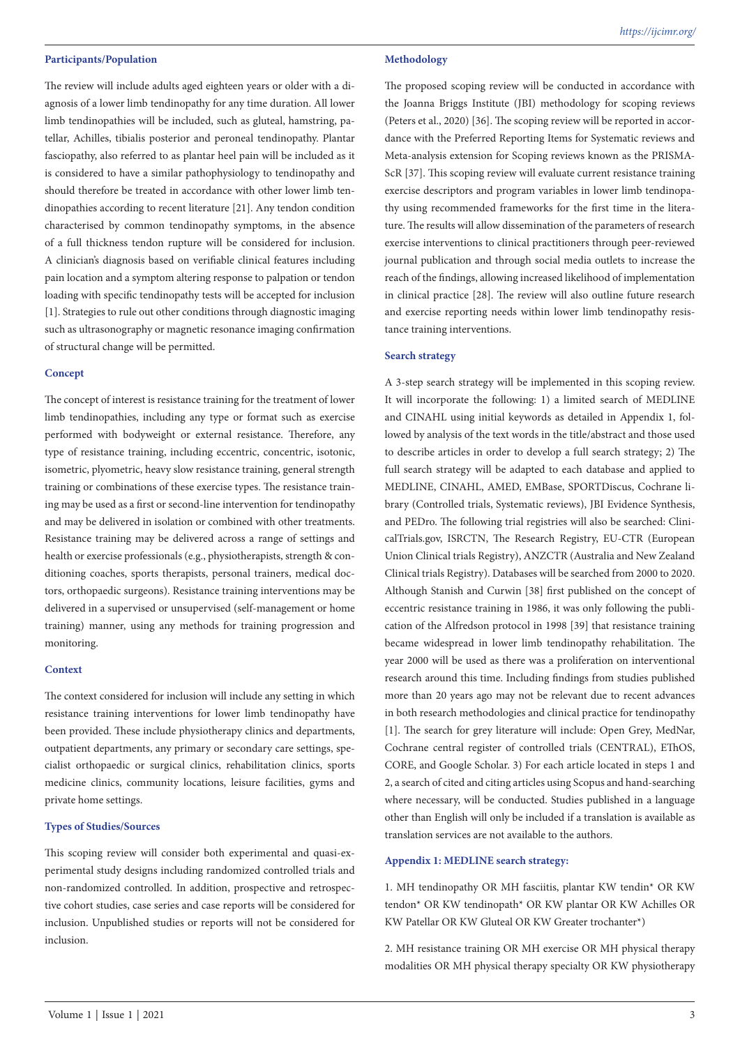#### **Participants/Population**

The review will include adults aged eighteen years or older with a diagnosis of a lower limb tendinopathy for any time duration. All lower limb tendinopathies will be included, such as gluteal, hamstring, patellar, Achilles, tibialis posterior and peroneal tendinopathy. Plantar fasciopathy, also referred to as plantar heel pain will be included as it is considered to have a similar pathophysiology to tendinopathy and should therefore be treated in accordance with other lower limb tendinopathies according to recent literature [21]. Any tendon condition characterised by common tendinopathy symptoms, in the absence of a full thickness tendon rupture will be considered for inclusion. A clinician's diagnosis based on verifiable clinical features including pain location and a symptom altering response to palpation or tendon loading with specific tendinopathy tests will be accepted for inclusion [1]. Strategies to rule out other conditions through diagnostic imaging such as ultrasonography or magnetic resonance imaging confirmation of structural change will be permitted.

# **Concept**

The concept of interest is resistance training for the treatment of lower limb tendinopathies, including any type or format such as exercise performed with bodyweight or external resistance. Therefore, any type of resistance training, including eccentric, concentric, isotonic, isometric, plyometric, heavy slow resistance training, general strength training or combinations of these exercise types. The resistance training may be used as a first or second-line intervention for tendinopathy and may be delivered in isolation or combined with other treatments. Resistance training may be delivered across a range of settings and health or exercise professionals (e.g., physiotherapists, strength & conditioning coaches, sports therapists, personal trainers, medical doctors, orthopaedic surgeons). Resistance training interventions may be delivered in a supervised or unsupervised (self-management or home training) manner, using any methods for training progression and monitoring.

#### **Context**

The context considered for inclusion will include any setting in which resistance training interventions for lower limb tendinopathy have been provided. These include physiotherapy clinics and departments, outpatient departments, any primary or secondary care settings, specialist orthopaedic or surgical clinics, rehabilitation clinics, sports medicine clinics, community locations, leisure facilities, gyms and private home settings.

# **Types of Studies/Sources**

This scoping review will consider both experimental and quasi-experimental study designs including randomized controlled trials and non-randomized controlled. In addition, prospective and retrospective cohort studies, case series and case reports will be considered for inclusion. Unpublished studies or reports will not be considered for inclusion.

# **Methodology**

The proposed scoping review will be conducted in accordance with the Joanna Briggs Institute (JBI) methodology for scoping reviews (Peters et al., 2020) [36]. The scoping review will be reported in accordance with the Preferred Reporting Items for Systematic reviews and Meta-analysis extension for Scoping reviews known as the PRISMA-ScR [37]. This scoping review will evaluate current resistance training exercise descriptors and program variables in lower limb tendinopathy using recommended frameworks for the first time in the literature. The results will allow dissemination of the parameters of research exercise interventions to clinical practitioners through peer-reviewed journal publication and through social media outlets to increase the reach of the findings, allowing increased likelihood of implementation in clinical practice [28]. The review will also outline future research and exercise reporting needs within lower limb tendinopathy resistance training interventions.

#### **Search strategy**

A 3-step search strategy will be implemented in this scoping review. It will incorporate the following: 1) a limited search of MEDLINE and CINAHL using initial keywords as detailed in Appendix 1, followed by analysis of the text words in the title/abstract and those used to describe articles in order to develop a full search strategy; 2) The full search strategy will be adapted to each database and applied to MEDLINE, CINAHL, AMED, EMBase, SPORTDiscus, Cochrane library (Controlled trials, Systematic reviews), JBI Evidence Synthesis, and PEDro. The following trial registries will also be searched: ClinicalTrials.gov, ISRCTN, The Research Registry, EU-CTR (European Union Clinical trials Registry), ANZCTR (Australia and New Zealand Clinical trials Registry). Databases will be searched from 2000 to 2020. Although Stanish and Curwin [38] first published on the concept of eccentric resistance training in 1986, it was only following the publication of the Alfredson protocol in 1998 [39] that resistance training became widespread in lower limb tendinopathy rehabilitation. The year 2000 will be used as there was a proliferation on interventional research around this time. Including findings from studies published more than 20 years ago may not be relevant due to recent advances in both research methodologies and clinical practice for tendinopathy [1]. The search for grey literature will include: Open Grey, MedNar, Cochrane central register of controlled trials (CENTRAL), EThOS, CORE, and Google Scholar. 3) For each article located in steps 1 and 2, a search of cited and citing articles using Scopus and hand-searching where necessary, will be conducted. Studies published in a language other than English will only be included if a translation is available as translation services are not available to the authors.

#### **Appendix 1: MEDLINE search strategy:**

1. MH tendinopathy OR MH fasciitis, plantar KW tendin\* OR KW tendon\* OR KW tendinopath\* OR KW plantar OR KW Achilles OR KW Patellar OR KW Gluteal OR KW Greater trochanter\*)

2. MH resistance training OR MH exercise OR MH physical therapy modalities OR MH physical therapy specialty OR KW physiotherapy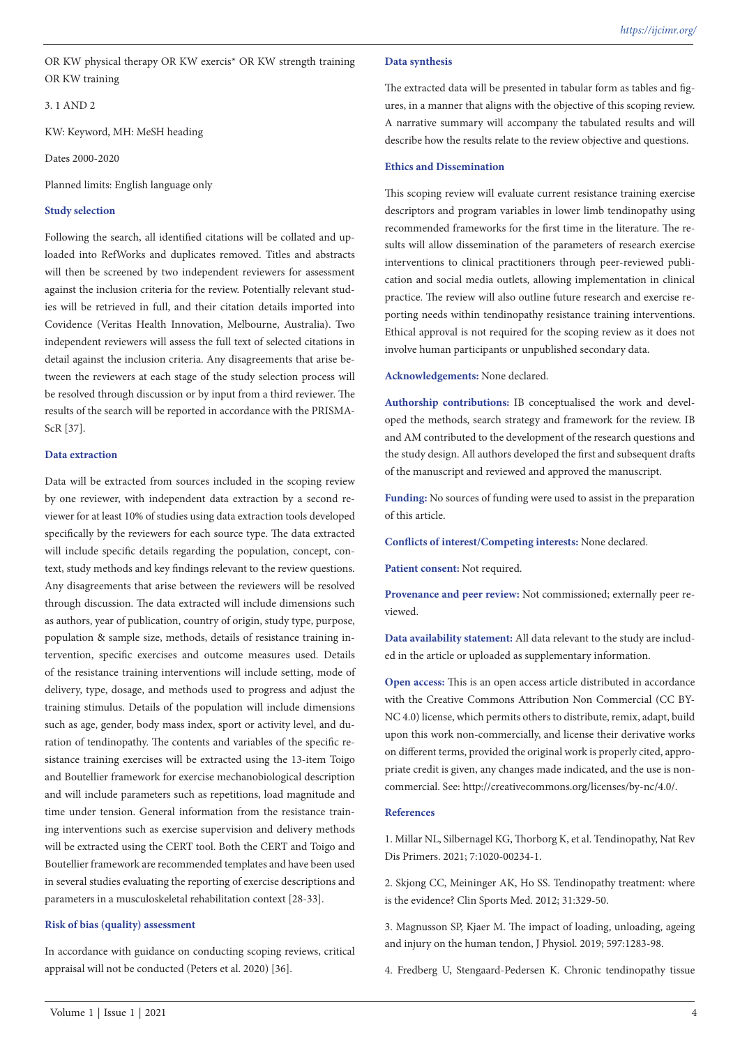OR KW physical therapy OR KW exercis\* OR KW strength training OR KW training

3. 1 AND 2

KW: Keyword, MH: MeSH heading

Dates 2000-2020

Planned limits: English language only

#### **Study selection**

Following the search, all identified citations will be collated and uploaded into RefWorks and duplicates removed. Titles and abstracts will then be screened by two independent reviewers for assessment against the inclusion criteria for the review. Potentially relevant studies will be retrieved in full, and their citation details imported into Covidence (Veritas Health Innovation, Melbourne, Australia). Two independent reviewers will assess the full text of selected citations in detail against the inclusion criteria. Any disagreements that arise between the reviewers at each stage of the study selection process will be resolved through discussion or by input from a third reviewer. The results of the search will be reported in accordance with the PRISMA-ScR [37].

#### **Data extraction**

Data will be extracted from sources included in the scoping review by one reviewer, with independent data extraction by a second reviewer for at least 10% of studies using data extraction tools developed specifically by the reviewers for each source type. The data extracted will include specific details regarding the population, concept, context, study methods and key findings relevant to the review questions. Any disagreements that arise between the reviewers will be resolved through discussion. The data extracted will include dimensions such as authors, year of publication, country of origin, study type, purpose, population & sample size, methods, details of resistance training intervention, specific exercises and outcome measures used. Details of the resistance training interventions will include setting, mode of delivery, type, dosage, and methods used to progress and adjust the training stimulus. Details of the population will include dimensions such as age, gender, body mass index, sport or activity level, and duration of tendinopathy. The contents and variables of the specific resistance training exercises will be extracted using the 13-item Toigo and Boutellier framework for exercise mechanobiological description and will include parameters such as repetitions, load magnitude and time under tension. General information from the resistance training interventions such as exercise supervision and delivery methods will be extracted using the CERT tool. Both the CERT and Toigo and Boutellier framework are recommended templates and have been used in several studies evaluating the reporting of exercise descriptions and parameters in a musculoskeletal rehabilitation context [28-33].

### **Risk of bias (quality) assessment**

In accordance with guidance on conducting scoping reviews, critical appraisal will not be conducted (Peters et al. 2020) [36].

#### **Data synthesis**

The extracted data will be presented in tabular form as tables and figures, in a manner that aligns with the objective of this scoping review. A narrative summary will accompany the tabulated results and will describe how the results relate to the review objective and questions.

#### **Ethics and Dissemination**

This scoping review will evaluate current resistance training exercise descriptors and program variables in lower limb tendinopathy using recommended frameworks for the first time in the literature. The results will allow dissemination of the parameters of research exercise interventions to clinical practitioners through peer-reviewed publication and social media outlets, allowing implementation in clinical practice. The review will also outline future research and exercise reporting needs within tendinopathy resistance training interventions. Ethical approval is not required for the scoping review as it does not involve human participants or unpublished secondary data.

**Acknowledgements:** None declared.

**Authorship contributions:** IB conceptualised the work and developed the methods, search strategy and framework for the review. IB and AM contributed to the development of the research questions and the study design. All authors developed the first and subsequent drafts of the manuscript and reviewed and approved the manuscript.

**Funding:** No sources of funding were used to assist in the preparation of this article.

**Conflicts of interest/Competing interests:** None declared.

**Patient consent:** Not required.

**Provenance and peer review:** Not commissioned; externally peer reviewed.

**Data availability statement:** All data relevant to the study are included in the article or uploaded as supplementary information.

**Open access:** This is an open access article distributed in accordance with the Creative Commons Attribution Non Commercial (CC BY-NC 4.0) license, which permits others to distribute, remix, adapt, build upon this work non-commercially, and license their derivative works on different terms, provided the original work is properly cited, appropriate credit is given, any changes made indicated, and the use is noncommercial. See: http://creativecommons.org/licenses/by-nc/4.0/.

# **References**

1. Millar NL, Silbernagel KG, Thorborg K, et al. Tendinopathy, Nat Rev Dis Primers. 2021; 7:1020-00234-1.

2. Skjong CC, Meininger AK, Ho SS. Tendinopathy treatment: where is the evidence? Clin Sports Med. 2012; 31:329-50.

3. Magnusson SP, Kjaer M. The impact of loading, unloading, ageing and injury on the human tendon, J Physiol. 2019; 597:1283-98.

4. Fredberg U, Stengaard-Pedersen K. Chronic tendinopathy tissue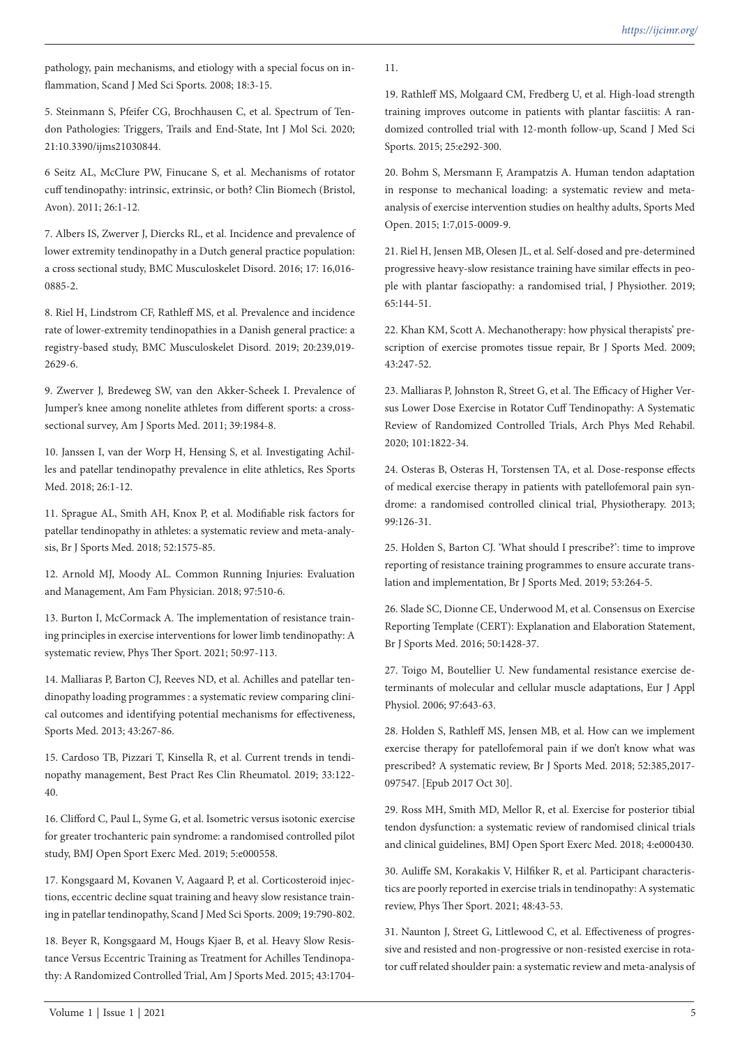pathology, pain mechanisms, and etiology with a special focus on inflammation, Scand J Med Sci Sports. 2008; 18:3-15.

5. Steinmann S, Pfeifer CG, Brochhausen C, et al. Spectrum of Tendon Pathologies: Triggers, Trails and End-State, Int J Mol Sci. 2020; 21:10.3390/ijms21030844.

6 Seitz AL, McClure PW, Finucane S, et al. Mechanisms of rotator cuff tendinopathy: intrinsic, extrinsic, or both? Clin Biomech (Bristol, Avon). 2011; 26:1-12.

7. Albers IS, Zwerver J, Diercks RL, et al. Incidence and prevalence of lower extremity tendinopathy in a Dutch general practice population: a cross sectional study, BMC Musculoskelet Disord. 2016; 17: 16,016- 0885-2.

8. Riel H, Lindstrom CF, Rathleff MS, et al. Prevalence and incidence rate of lower-extremity tendinopathies in a Danish general practice: a registry-based study, BMC Musculoskelet Disord. 2019; 20:239,019- 2629-6.

9. Zwerver J, Bredeweg SW, van den Akker-Scheek I. Prevalence of Jumper's knee among nonelite athletes from different sports: a crosssectional survey, Am J Sports Med. 2011; 39:1984-8.

10. Janssen I, van der Worp H, Hensing S, et al. Investigating Achilles and patellar tendinopathy prevalence in elite athletics, Res Sports Med. 2018; 26:1-12.

11. Sprague AL, Smith AH, Knox P, et al. Modifiable risk factors for patellar tendinopathy in athletes: a systematic review and meta-analysis, Br J Sports Med. 2018; 52:1575-85.

12. Arnold MJ, Moody AL. Common Running Injuries: Evaluation and Management, Am Fam Physician. 2018; 97:510-6.

13. Burton I, McCormack A. The implementation of resistance training principles in exercise interventions for lower limb tendinopathy: A systematic review, Phys Ther Sport. 2021; 50:97-113.

14. Malliaras P, Barton CJ, Reeves ND, et al. Achilles and patellar tendinopathy loading programmes : a systematic review comparing clinical outcomes and identifying potential mechanisms for effectiveness, Sports Med. 2013; 43:267-86.

15. Cardoso TB, Pizzari T, Kinsella R, et al. Current trends in tendinopathy management, Best Pract Res Clin Rheumatol. 2019; 33:122- 40.

16. Clifford C, Paul L, Syme G, et al. Isometric versus isotonic exercise for greater trochanteric pain syndrome: a randomised controlled pilot study, BMJ Open Sport Exerc Med. 2019; 5:e000558.

17. Kongsgaard M, Kovanen V, Aagaard P, et al. Corticosteroid injections, eccentric decline squat training and heavy slow resistance training in patellar tendinopathy, Scand J Med Sci Sports. 2009; 19:790-802.

18. Beyer R, Kongsgaard M, Hougs Kjaer B, et al. Heavy Slow Resistance Versus Eccentric Training as Treatment for Achilles Tendinopathy: A Randomized Controlled Trial, Am J Sports Med. 2015; 43:170411.

19. Rathleff MS, Molgaard CM, Fredberg U, et al. High-load strength training improves outcome in patients with plantar fasciitis: A randomized controlled trial with 12-month follow-up, Scand J Med Sci Sports. 2015; 25:e292-300.

20. Bohm S, Mersmann F, Arampatzis A. Human tendon adaptation in response to mechanical loading: a systematic review and metaanalysis of exercise intervention studies on healthy adults, Sports Med Open. 2015; 1:7,015-0009-9.

21. Riel H, Jensen MB, Olesen JL, et al. Self-dosed and pre-determined progressive heavy-slow resistance training have similar effects in people with plantar fasciopathy: a randomised trial, J Physiother. 2019; 65:144-51.

22. Khan KM, Scott A. Mechanotherapy: how physical therapists' prescription of exercise promotes tissue repair, Br J Sports Med. 2009; 43:247-52.

23. Malliaras P, Johnston R, Street G, et al. The Efficacy of Higher Versus Lower Dose Exercise in Rotator Cuff Tendinopathy: A Systematic Review of Randomized Controlled Trials, Arch Phys Med Rehabil. 2020; 101:1822-34.

24. Osteras B, Osteras H, Torstensen TA, et al. Dose-response effects of medical exercise therapy in patients with patellofemoral pain syndrome: a randomised controlled clinical trial, Physiotherapy. 2013; 99:126-31.

25. Holden S, Barton CJ. 'What should I prescribe?': time to improve reporting of resistance training programmes to ensure accurate translation and implementation, Br J Sports Med. 2019; 53:264-5.

26. Slade SC, Dionne CE, Underwood M, et al. Consensus on Exercise Reporting Template (CERT): Explanation and Elaboration Statement, Br J Sports Med. 2016; 50:1428-37.

27. Toigo M, Boutellier U. New fundamental resistance exercise determinants of molecular and cellular muscle adaptations, Eur J Appl Physiol. 2006; 97:643-63.

28. Holden S, Rathleff MS, Jensen MB, et al. How can we implement exercise therapy for patellofemoral pain if we don't know what was prescribed? A systematic review, Br J Sports Med. 2018; 52:385,2017- 097547. [Epub 2017 Oct 30].

29. Ross MH, Smith MD, Mellor R, et al. Exercise for posterior tibial tendon dysfunction: a systematic review of randomised clinical trials and clinical guidelines, BMJ Open Sport Exerc Med. 2018; 4:e000430.

30. Auliffe SM, Korakakis V, Hilfiker R, et al. Participant characteristics are poorly reported in exercise trials in tendinopathy: A systematic review, Phys Ther Sport. 2021; 48:43-53.

31. Naunton J, Street G, Littlewood C, et al. Effectiveness of progressive and resisted and non-progressive or non-resisted exercise in rotator cuff related shoulder pain: a systematic review and meta-analysis of